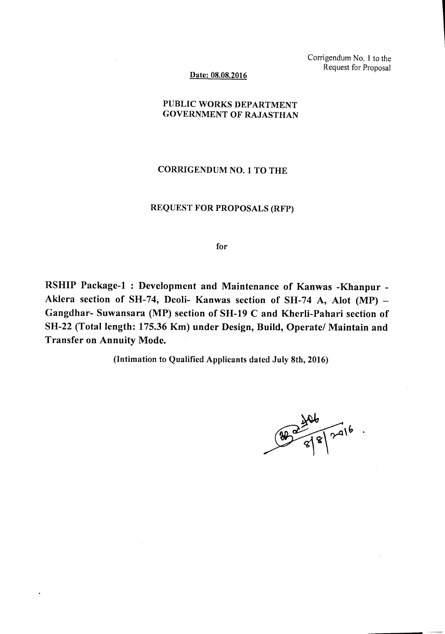Corrigendum No. I to the Request for Proposal

#### Date: 08.08.2016

### PUBLIC WORKS DEPARTMENT GOVERNMENT OF RAJASTHAN

## CORRIGENDUM NO.1 TO THE

### REQUEST FOR PROPOSALS (RFP)

#### for

RSHIP Package-I: Development and Maintenance of Kanwas -Khanpur - Aklera section of SH-74, Deoli- Kanwas section of SH-74 A, Alot (MP) -Gangdhar- Suwansara (MP) section of SH-19 C and Kherli-Pahari section of SH-22 (Total length: 175.36 Km) under Design, Build, Operate/ Maintain and Transfer on Annuity Mode.

(Intimation to Qualified Applicants dated July 8th, 2016)

 $9246$ <br> $8246$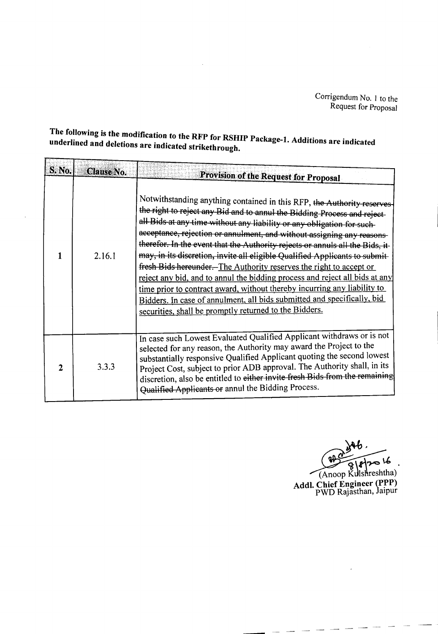# The following is the modification to the RFP for RSHIP Package-1. Additions are indicated underlined and deletions are indicated strikethrough.

| S. No.       | Clause No. |                                                                                                                                                                                                                                                                                                                                                                                                                                                                                                                                                                                                                                                                                                                                                                                                                                                                                        |
|--------------|------------|----------------------------------------------------------------------------------------------------------------------------------------------------------------------------------------------------------------------------------------------------------------------------------------------------------------------------------------------------------------------------------------------------------------------------------------------------------------------------------------------------------------------------------------------------------------------------------------------------------------------------------------------------------------------------------------------------------------------------------------------------------------------------------------------------------------------------------------------------------------------------------------|
|              | 2.16.1     | Provision of the Request for Proposal<br>Notwithstanding anything contained in this RFP, the Authority reserves<br>the right to reject any Bid and to annul the Bidding Process and reject-<br>all Bids at any time without any liability or any obligation for such-<br>acceptance, rejection or annulment, and without assigning any reasons-<br>therefor. In the event that the Authority rejects or annuls all the Bids, it-<br>may, in its discretion, invite all eligible Qualified Applicants to submit-<br>fresh Bids hereunder. The Authority reserves the right to accept or<br>reject any bid, and to annul the bidding process and reject all bids at any<br>time prior to contract award, without thereby incurring any liability to<br>Bidders. In case of annulment, all bids submitted and specifically, bid<br>securities, shall be promptly returned to the Bidders. |
| $\mathbf{2}$ | 3.3.3      | In case such Lowest Evaluated Qualified Applicant withdraws or is not<br>selected for any reason, the Authority may award the Project to the<br>substantially responsive Qualified Applicant quoting the second lowest<br>Project Cost, subject to prior ADB approval. The Authority shall, in its<br>discretion, also be entitled to either invite fresh Bids from the remaining<br>Qualified Applicants or annul the Bidding Process.                                                                                                                                                                                                                                                                                                                                                                                                                                                |

Anoop Kulshreshtha) Addl. Chief Engineer (PPP)<br>PWD Rajasthan, Jaipur